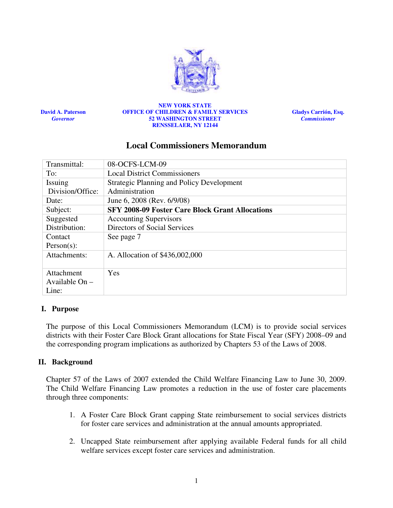

David A. Paterson Governor

#### NEW YORK STATE OFFICE OF CHILDREN & FAMILY SERVICES 52 WASHINGTON STREET RENSSELAER, NY 12144

Gladys Carrión, Esq. **Commissioner** 

# Local Commissioners Memorandum

| Transmittal:     | 08-OCFS-LCM-09                                         |
|------------------|--------------------------------------------------------|
| To:              | <b>Local District Commissioners</b>                    |
| Issuing          | <b>Strategic Planning and Policy Development</b>       |
| Division/Office: | Administration                                         |
| Date:            | June 6, 2008 (Rev. 6/9/08)                             |
| Subject:         | <b>SFY 2008-09 Foster Care Block Grant Allocations</b> |
| Suggested        | <b>Accounting Supervisors</b>                          |
| Distribution:    | Directors of Social Services                           |
| Contact          | See page 7                                             |
| $Person(s)$ :    |                                                        |
| Attachments:     | A. Allocation of \$436,002,000                         |
|                  |                                                        |
| Attachment       | Yes                                                    |
| Available $On -$ |                                                        |
| Line:            |                                                        |

# I. Purpose

The purpose of this Local Commissioners Memorandum (LCM) is to provide social services districts with their Foster Care Block Grant allocations for State Fiscal Year (SFY) 2008–09 and the corresponding program implications as authorized by Chapters 53 of the Laws of 2008.

# II. Background

Chapter 57 of the Laws of 2007 extended the Child Welfare Financing Law to June 30, 2009. The Child Welfare Financing Law promotes a reduction in the use of foster care placements through three components:

- 1. A Foster Care Block Grant capping State reimbursement to social services districts for foster care services and administration at the annual amounts appropriated.
- 2. Uncapped State reimbursement after applying available Federal funds for all child welfare services except foster care services and administration.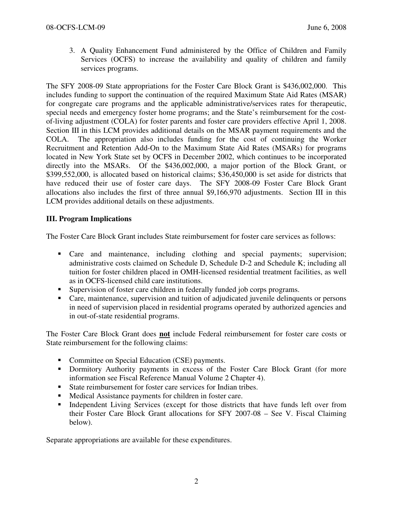3. A Quality Enhancement Fund administered by the Office of Children and Family Services (OCFS) to increase the availability and quality of children and family services programs.

The SFY 2008-09 State appropriations for the Foster Care Block Grant is \$436,002,000. This includes funding to support the continuation of the required Maximum State Aid Rates (MSAR) for congregate care programs and the applicable administrative/services rates for therapeutic, special needs and emergency foster home programs; and the State's reimbursement for the costof-living adjustment (COLA) for foster parents and foster care providers effective April 1, 2008. Section III in this LCM provides additional details on the MSAR payment requirements and the COLA. The appropriation also includes funding for the cost of continuing the Worker Recruitment and Retention Add-On to the Maximum State Aid Rates (MSARs) for programs located in New York State set by OCFS in December 2002, which continues to be incorporated directly into the MSARs. Of the \$436,002,000, a major portion of the Block Grant, or \$399,552,000, is allocated based on historical claims; \$36,450,000 is set aside for districts that have reduced their use of foster care days. The SFY 2008-09 Foster Care Block Grant allocations also includes the first of three annual \$9,166,970 adjustments. Section III in this LCM provides additional details on these adjustments.

# III. Program Implications

The Foster Care Block Grant includes State reimbursement for foster care services as follows:

- **Care and maintenance, including clothing and special payments; supervision;** administrative costs claimed on Schedule D, Schedule D-2 and Schedule K; including all tuition for foster children placed in OMH-licensed residential treatment facilities, as well as in OCFS-licensed child care institutions.
- Supervision of foster care children in federally funded job corps programs.
- Care, maintenance, supervision and tuition of adjudicated juvenile delinquents or persons in need of supervision placed in residential programs operated by authorized agencies and in out-of-state residential programs.

The Foster Care Block Grant does not include Federal reimbursement for foster care costs or State reimbursement for the following claims:

- Committee on Special Education (CSE) payments.
- **Dormitory Authority payments in excess of the Foster Care Block Grant (for more** information see Fiscal Reference Manual Volume 2 Chapter 4).
- State reimbursement for foster care services for Indian tribes.
- Medical Assistance payments for children in foster care.
- Independent Living Services (except for those districts that have funds left over from their Foster Care Block Grant allocations for SFY 2007-08 – See V. Fiscal Claiming below).

Separate appropriations are available for these expenditures.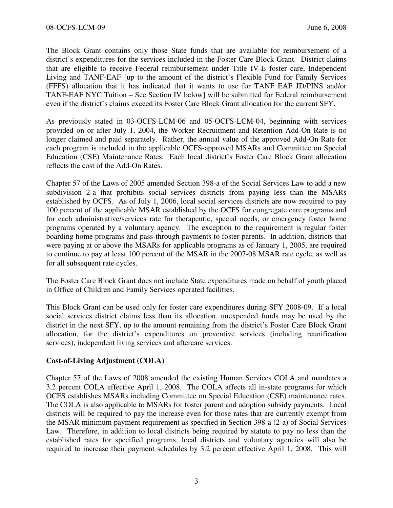The Block Grant contains only those State funds that are available for reimbursement of a district's expenditures for the services included in the Foster Care Block Grant. District claims that are eligible to receive Federal reimbursement under Title IV-E foster care, Independent Living and TANF-EAF [up to the amount of the district's Flexible Fund for Family Services (FFFS) allocation that it has indicated that it wants to use for TANF EAF JD/PINS and/or TANF-EAF NYC Tuition – See Section IV below] will be submitted for Federal reimbursement even if the district's claims exceed its Foster Care Block Grant allocation for the current SFY.

As previously stated in 03-OCFS-LCM-06 and 05-OCFS-LCM-04, beginning with services provided on or after July 1, 2004, the Worker Recruitment and Retention Add-On Rate is no longer claimed and paid separately. Rather, the annual value of the approved Add-On Rate for each program is included in the applicable OCFS-approved MSARs and Committee on Special Education (CSE) Maintenance Rates. Each local district's Foster Care Block Grant allocation reflects the cost of the Add-On Rates.

Chapter 57 of the Laws of 2005 amended Section 398-a of the Social Services Law to add a new subdivision 2-a that prohibits social services districts from paying less than the MSARs established by OCFS. As of July 1, 2006, local social services districts are now required to pay 100 percent of the applicable MSAR established by the OCFS for congregate care programs and for each administrative/services rate for therapeutic, special needs, or emergency foster home programs operated by a voluntary agency. The exception to the requirement is regular foster boarding home programs and pass-through payments to foster parents. In addition, districts that were paying at or above the MSARs for applicable programs as of January 1, 2005, are required to continue to pay at least 100 percent of the MSAR in the 2007-08 MSAR rate cycle, as well as for all subsequent rate cycles.

The Foster Care Block Grant does not include State expenditures made on behalf of youth placed in Office of Children and Family Services operated facilities.

This Block Grant can be used only for foster care expenditures during SFY 2008-09. If a local social services district claims less than its allocation, unexpended funds may be used by the district in the next SFY, up to the amount remaining from the district's Foster Care Block Grant allocation, for the district's expenditures on preventive services (including reunification services), independent living services and aftercare services.

# Cost-of-Living Adjustment (COLA)

Chapter 57 of the Laws of 2008 amended the existing Human Services COLA and mandates a 3.2 percent COLA effective April 1, 2008. The COLA affects all in-state programs for which OCFS establishes MSARs including Committee on Special Education (CSE) maintenance rates. The COLA is also applicable to MSARs for foster parent and adoption subsidy payments. Local districts will be required to pay the increase even for those rates that are currently exempt from the MSAR minimum payment requirement as specified in Section 398-a (2-a) of Social Services Law. Therefore, in addition to local districts being required by statute to pay no less than the established rates for specified programs, local districts and voluntary agencies will also be required to increase their payment schedules by 3.2 percent effective April 1, 2008. This will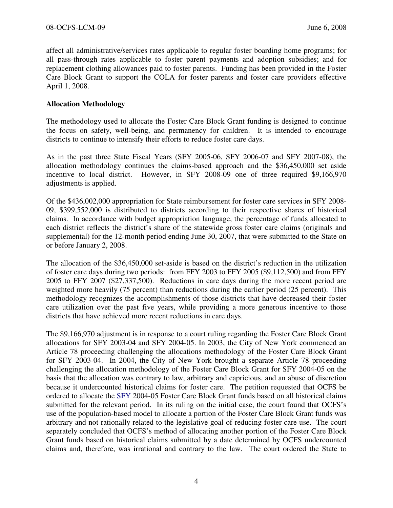affect all administrative/services rates applicable to regular foster boarding home programs; for all pass-through rates applicable to foster parent payments and adoption subsidies; and for replacement clothing allowances paid to foster parents. Funding has been provided in the Foster Care Block Grant to support the COLA for foster parents and foster care providers effective April 1, 2008.

### Allocation Methodology

The methodology used to allocate the Foster Care Block Grant funding is designed to continue the focus on safety, well-being, and permanency for children. It is intended to encourage districts to continue to intensify their efforts to reduce foster care days.

As in the past three State Fiscal Years (SFY 2005-06, SFY 2006-07 and SFY 2007-08), the allocation methodology continues the claims-based approach and the \$36,450,000 set aside incentive to local district. However, in SFY 2008-09 one of three required \$9,166,970 adjustments is applied.

Of the \$436,002,000 appropriation for State reimbursement for foster care services in SFY 2008- 09, \$399,552,000 is distributed to districts according to their respective shares of historical claims. In accordance with budget appropriation language, the percentage of funds allocated to each district reflects the district's share of the statewide gross foster care claims (originals and supplemental) for the 12-month period ending June 30, 2007, that were submitted to the State on or before January 2, 2008.

The allocation of the \$36,450,000 set-aside is based on the district's reduction in the utilization of foster care days during two periods: from FFY 2003 to FFY 2005 (\$9,112,500) and from FFY 2005 to FFY 2007 (\$27,337,500). Reductions in care days during the more recent period are weighted more heavily (75 percent) than reductions during the earlier period (25 percent). This methodology recognizes the accomplishments of those districts that have decreased their foster care utilization over the past five years, while providing a more generous incentive to those districts that have achieved more recent reductions in care days.

The \$9,166,970 adjustment is in response to a court ruling regarding the Foster Care Block Grant allocations for SFY 2003-04 and SFY 2004-05. In 2003, the City of New York commenced an Article 78 proceeding challenging the allocations methodology of the Foster Care Block Grant for SFY 2003-04. In 2004, the City of New York brought a separate Article 78 proceeding challenging the allocation methodology of the Foster Care Block Grant for SFY 2004-05 on the basis that the allocation was contrary to law, arbitrary and capricious, and an abuse of discretion because it undercounted historical claims for foster care. The petition requested that OCFS be ordered to allocate the SFY 2004-05 Foster Care Block Grant funds based on all historical claims submitted for the relevant period. In its ruling on the initial case, the court found that OCFS's use of the population-based model to allocate a portion of the Foster Care Block Grant funds was arbitrary and not rationally related to the legislative goal of reducing foster care use. The court separately concluded that OCFS's method of allocating another portion of the Foster Care Block Grant funds based on historical claims submitted by a date determined by OCFS undercounted claims and, therefore, was irrational and contrary to the law. The court ordered the State to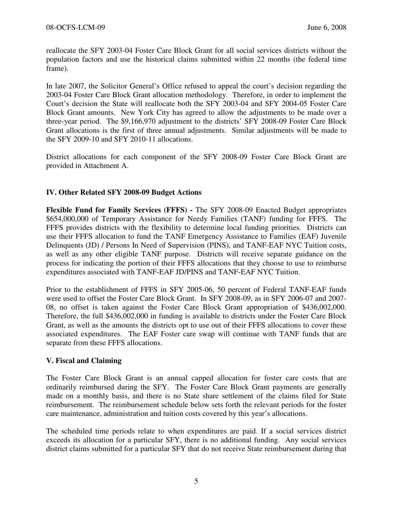reallocate the SFY 2003-04 Foster Care Block Grant for all social services districts without the population factors and use the historical claims submitted within 22 months (the federal time frame).

In late 2007, the Solicitor General's Office refused to appeal the court's decision regarding the 2003-04 Foster Care Block Grant allocation methodology. Therefore, in order to implement the Court's decision the State will reallocate both the SFY 2003-04 and SFY 2004-05 Foster Care Block Grant amounts. New York City has agreed to allow the adjustments to be made over a three-year period. The \$9,166,970 adjustment to the districts' SFY 2008-09 Foster Care Block Grant allocations is the first of three annual adjustments. Similar adjustments will be made to the SFY 2009-10 and SFY 2010-11 allocations.

District allocations for each component of the SFY 2008-09 Foster Care Block Grant are provided in Attachment A.

# IV. Other Related SFY 2008-09 Budget Actions

Flexible Fund for Family Services (FFFS) - The SFY 2008-09 Enacted Budget appropriates \$654,000,000 of Temporary Assistance for Needy Families (TANF) funding for FFFS. The FFFS provides districts with the flexibility to determine local funding priorities. Districts can use their FFFS allocation to fund the TANF Emergency Assistance to Families (EAF) Juvenile Delinquents (JD) / Persons In Need of Supervision (PINS), and TANF-EAF NYC Tuition costs, as well as any other eligible TANF purpose. Districts will receive separate guidance on the process for indicating the portion of their FFFS allocations that they choose to use to reimburse expenditures associated with TANF-EAF JD/PINS and TANF-EAF NYC Tuition.

Prior to the establishment of FFFS in SFY 2005-06, 50 percent of Federal TANF-EAF funds were used to offset the Foster Care Block Grant. In SFY 2008-09, as in SFY 2006-07 and 2007- 08, no offset is taken against the Foster Care Block Grant appropriation of \$436,002,000. Therefore, the full \$436,002,000 in funding is available to districts under the Foster Care Block Grant, as well as the amounts the districts opt to use out of their FFFS allocations to cover these associated expenditures. The EAF Foster care swap will continue with TANF funds that are separate from these FFFS allocations.

# V. Fiscal and Claiming

The Foster Care Block Grant is an annual capped allocation for foster care costs that are ordinarily reimbursed during the SFY. The Foster Care Block Grant payments are generally made on a monthly basis, and there is no State share settlement of the claims filed for State reimbursement. The reimbursement schedule below sets forth the relevant periods for the foster care maintenance, administration and tuition costs covered by this year's allocations.

The scheduled time periods relate to when expenditures are paid. If a social services district exceeds its allocation for a particular SFY, there is no additional funding. Any social services district claims submitted for a particular SFY that do not receive State reimbursement during that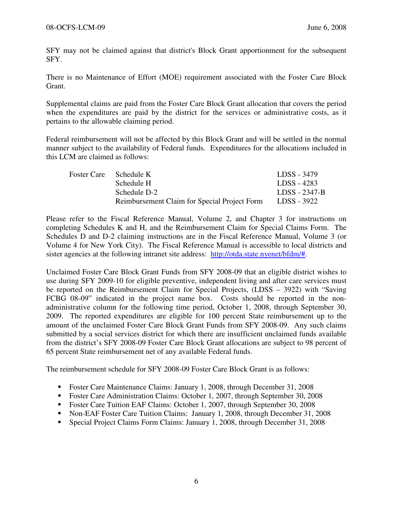SFY may not be claimed against that district's Block Grant apportionment for the subsequent SFY.

There is no Maintenance of Effort (MOE) requirement associated with the Foster Care Block Grant.

Supplemental claims are paid from the Foster Care Block Grant allocation that covers the period when the expenditures are paid by the district for the services or administrative costs, as it pertains to the allowable claiming period.

Federal reimbursement will not be affected by this Block Grant and will be settled in the normal manner subject to the availability of Federal funds. Expenditures for the allocations included in this LCM are claimed as follows:

| Foster Care Schedule K                       | LDSS - 3479   |
|----------------------------------------------|---------------|
| Schedule H                                   | LDSS - 4283   |
| Schedule D-2                                 | LDSS - 2347-B |
| Reimbursement Claim for Special Project Form | LDSS - 3922   |

Please refer to the Fiscal Reference Manual, Volume 2, and Chapter 3 for instructions on completing Schedules K and H, and the Reimbursement Claim for Special Claims Form. The Schedules D and D-2 claiming instructions are in the Fiscal Reference Manual, Volume 3 (or Volume 4 for New York City). The Fiscal Reference Manual is accessible to local districts and sister agencies at the following intranet site address: http://otda.state.nyenet/bfdm/#.

Unclaimed Foster Care Block Grant Funds from SFY 2008-09 that an eligible district wishes to use during SFY 2009-10 for eligible preventive, independent living and after care services must be reported on the Reimbursement Claim for Special Projects, (LDSS – 3922) with "Saving FCBG 08-09" indicated in the project name box. Costs should be reported in the nonadministrative column for the following time period, October 1, 2008, through September 30, 2009. The reported expenditures are eligible for 100 percent State reimbursement up to the amount of the unclaimed Foster Care Block Grant Funds from SFY 2008-09. Any such claims submitted by a social services district for which there are insufficient unclaimed funds available from the district's SFY 2008-09 Foster Care Block Grant allocations are subject to 98 percent of 65 percent State reimbursement net of any available Federal funds.

The reimbursement schedule for SFY 2008-09 Foster Care Block Grant is as follows:

- Foster Care Maintenance Claims: January 1, 2008, through December 31, 2008
- Foster Care Administration Claims: October 1, 2007, through September 30, 2008
- Foster Care Tuition EAF Claims: October 1, 2007, through September 30, 2008
- Non-EAF Foster Care Tuition Claims: January 1, 2008, through December 31, 2008
- Special Project Claims Form Claims: January 1, 2008, through December 31, 2008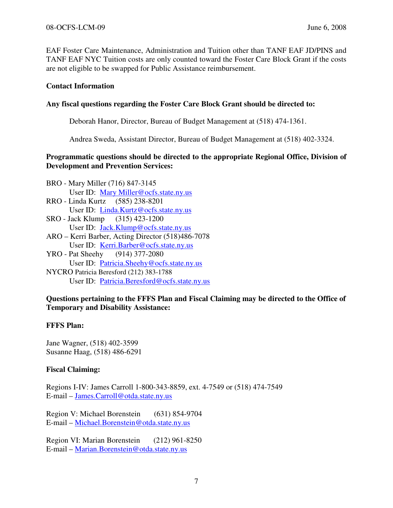EAF Foster Care Maintenance, Administration and Tuition other than TANF EAF JD/PINS and TANF EAF NYC Tuition costs are only counted toward the Foster Care Block Grant if the costs are not eligible to be swapped for Public Assistance reimbursement.

### Contact Information

### Any fiscal questions regarding the Foster Care Block Grant should be directed to:

Deborah Hanor, Director, Bureau of Budget Management at (518) 474-1361.

Andrea Sweda, Assistant Director, Bureau of Budget Management at (518) 402-3324.

### Programmatic questions should be directed to the appropriate Regional Office, Division of Development and Prevention Services:

- BRO Mary Miller (716) 847-3145 User ID: Mary Miller@ocfs.state.ny.us RRO - Linda Kurtz (585) 238-8201
- User ID: <u>Linda.Kurtz@ocfs.state.ny.us</u><br>Jack Klump (315) 423-1200 SRO - Jack Klump User ID: Jack.Klump@ocfs.state.ny.us
- ARO Kerri Barber, Acting Director (518)486-7078 User ID: Kerri.Barber@ocfs.state.ny.us
- YRO Pat Sheehy (914) 377-2080 User ID: Patricia.Sheehy@ocfs.state.ny.us NYCRO Patricia Beresford (212) 383-1788 User ID: Patricia.Beresford@ocfs.state.ny.us

# Questions pertaining to the FFFS Plan and Fiscal Claiming may be directed to the Office of Temporary and Disability Assistance:

# FFFS Plan:

Jane Wagner, (518) 402-3599 Susanne Haag, (518) 486-6291

# Fiscal Claiming:

Regions I-IV: James Carroll 1-800-343-8859, ext. 4-7549 or (518) 474-7549 E-mail – James.Carroll@otda.state.ny.us

Region V: Michael Borenstein (631) 854-9704 E-mail – Michael.Borenstein@otda.state.ny.us

Region VI: Marian Borenstein (212) 961-8250 E-mail – Marian.Borenstein@otda.state.ny.us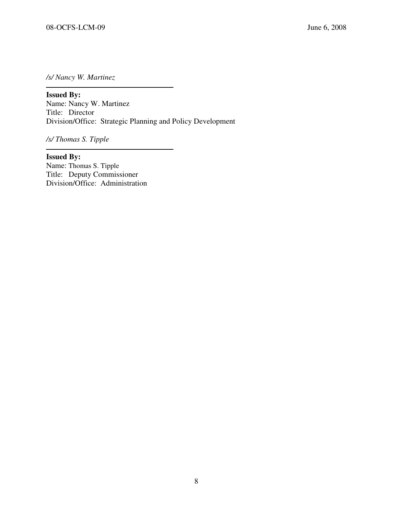/s/ Nancy W. Martinez

 $\overline{\phantom{a}}$ Issued By: Name: Nancy W. Martinez Title: Director Division/Office: Strategic Planning and Policy Development

/s/ Thomas S. Tipple

Issued By: Name: Thomas S. Tipple Title: Deputy Commissioner Division/Office: Administration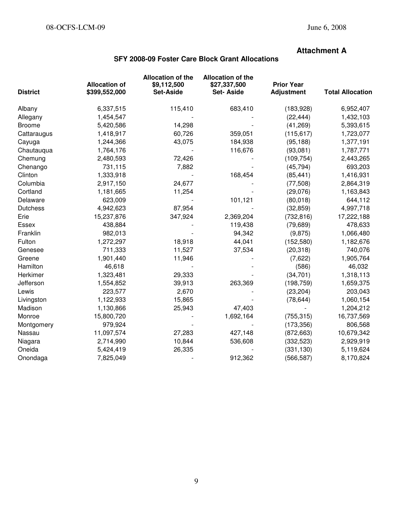# Attachment A

# SFY 2008-09 Foster Care Block Grant Allocations

| <b>District</b> | <b>Allocation of</b><br>\$399,552,000 | <b>Allocation of the</b><br>\$9,112,500<br><b>Set-Aside</b> | <b>Allocation of the</b><br>\$27,337,500<br><b>Set-Aside</b> | <b>Prior Year</b><br><b>Adjustment</b> | <b>Total Allocation</b> |
|-----------------|---------------------------------------|-------------------------------------------------------------|--------------------------------------------------------------|----------------------------------------|-------------------------|
| Albany          | 6,337,515                             | 115,410                                                     | 683,410                                                      | (183,928)                              | 6,952,407               |
| Allegany        | 1,454,547                             |                                                             |                                                              | (22, 444)                              | 1,432,103               |
| <b>Broome</b>   | 5,420,586                             | 14,298                                                      |                                                              | (41, 269)                              | 5,393,615               |
| Cattaraugus     | 1,418,917                             | 60,726                                                      | 359,051                                                      | (115, 617)                             | 1,723,077               |
| Cayuga          | 1,244,366                             | 43,075                                                      | 184,938                                                      | (95, 188)                              | 1,377,191               |
| Chautauqua      | 1,764,176                             |                                                             | 116,676                                                      | (93,081)                               | 1,787,771               |
| Chemung         | 2,480,593                             | 72,426                                                      |                                                              | (109, 754)                             | 2,443,265               |
| Chenango        | 731,115                               | 7,882                                                       |                                                              | (45, 794)                              | 693,203                 |
| Clinton         | 1,333,918                             |                                                             | 168,454                                                      | (85, 441)                              | 1,416,931               |
| Columbia        | 2,917,150                             | 24,677                                                      |                                                              | (77, 508)                              | 2,864,319               |
| Cortland        | 1,181,665                             | 11,254                                                      |                                                              | (29,076)                               | 1,163,843               |
| Delaware        | 623,009                               |                                                             | 101,121                                                      | (80,018)                               | 644,112                 |
| <b>Dutchess</b> | 4,942,623                             | 87,954                                                      |                                                              | (32, 859)                              | 4,997,718               |
| Erie            | 15,237,876                            | 347,924                                                     | 2,369,204                                                    | (732, 816)                             | 17,222,188              |
| Essex           | 438,884                               |                                                             | 119,438                                                      | (79, 689)                              | 478,633                 |
| Franklin        | 982,013                               |                                                             | 94,342                                                       | (9, 875)                               | 1,066,480               |
| Fulton          | 1,272,297                             | 18,918                                                      | 44,041                                                       | (152, 580)                             | 1,182,676               |
| Genesee         | 711,333                               | 11,527                                                      | 37,534                                                       | (20, 318)                              | 740,076                 |
| Greene          | 1,901,440                             | 11,946                                                      |                                                              | (7,622)                                | 1,905,764               |
| Hamilton        | 46,618                                |                                                             |                                                              | (586)                                  | 46,032                  |
| Herkimer        | 1,323,481                             | 29,333                                                      |                                                              | (34, 701)                              | 1,318,113               |
| Jefferson       | 1,554,852                             | 39,913                                                      | 263,369                                                      | (198, 759)                             | 1,659,375               |
| Lewis           | 223,577                               | 2,670                                                       |                                                              | (23, 204)                              | 203,043                 |
| Livingston      | 1,122,933                             | 15,865                                                      |                                                              | (78, 644)                              | 1,060,154               |
| Madison         | 1,130,866                             | 25,943                                                      | 47,403                                                       |                                        | 1,204,212               |
| Monroe          | 15,800,720                            |                                                             | 1,692,164                                                    | (755, 315)                             | 16,737,569              |
| Montgomery      | 979,924                               |                                                             |                                                              | (173, 356)                             | 806,568                 |
| Nassau          | 11,097,574                            | 27,283                                                      | 427,148                                                      | (872, 663)                             | 10,679,342              |
| Niagara         | 2,714,990                             | 10,844                                                      | 536,608                                                      | (332, 523)                             | 2,929,919               |
| Oneida          | 5,424,419                             | 26,335                                                      |                                                              | (331, 130)                             | 5,119,624               |
| Onondaga        | 7,825,049                             |                                                             | 912,362                                                      | (566, 587)                             | 8,170,824               |